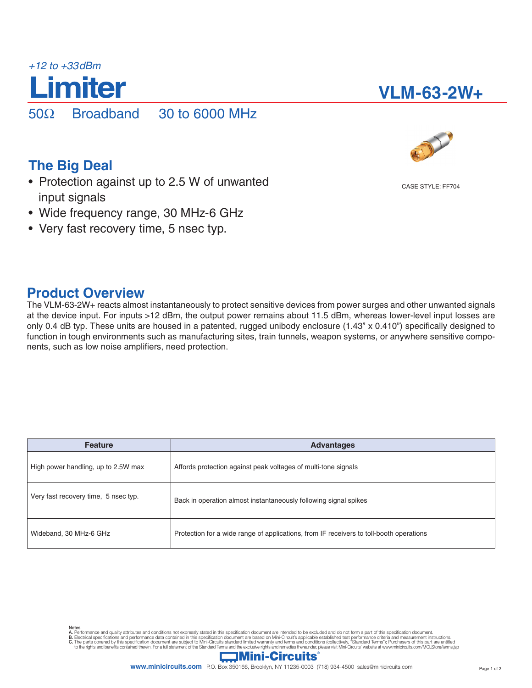

# **VLM-63-2W+**

**The Big Deal**

- Protection against up to 2.5 W of unwanted input signals
- Wide frequency range, 30 MHz-6 GHz
- Very fast recovery time, 5 nsec typ.

# **Product Overview**

The VLM-63-2W+ reacts almost instantaneously to protect sensitive devices from power surges and other unwanted signals at the device input. For inputs >12 dBm, the output power remains about 11.5 dBm, whereas lower-level input losses are only 0.4 dB typ. These units are housed in a patented, rugged unibody enclosure (1.43" x 0.410") specifically designed to function in tough environments such as manufacturing sites, train tunnels, weapon systems, or anywhere sensitive components, such as low noise amplifiers, need protection.

| <b>Feature</b>                       | <b>Advantages</b>                                                                       |  |  |  |  |
|--------------------------------------|-----------------------------------------------------------------------------------------|--|--|--|--|
| High power handling, up to 2.5W max  | Affords protection against peak voltages of multi-tone signals                          |  |  |  |  |
| Very fast recovery time, 5 nsec typ. | Back in operation almost instantaneously following signal spikes                        |  |  |  |  |
| Wideband, 30 MHz-6 GHz               | Protection for a wide range of applications, from IF receivers to toll-booth operations |  |  |  |  |

CASE STYLE: FF704

Notes

A. Performance and quality attributes and conditions not expressly stated in this specification document are intended to be excluded and do not form a part of this specification document.<br>B. Electrical specifications and p